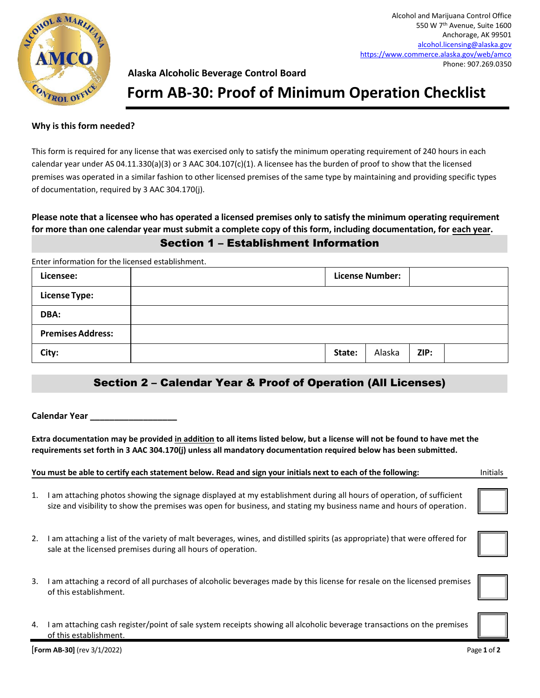

## **Alaska Alcoholic Beverage Control Board**

# **Form AB-30: Proof of Minimum Operation Checklist**

#### **Why is this form needed?**

This form is required for any license that was exercised only to satisfy the minimum operating requirement of 240 hours in each calendar year under AS 04.11.330(a)(3) or 3 AAC 304.107(c)(1). A licensee has the burden of proof to show that the licensed premises was operated in a similar fashion to other licensed premises of the same type by maintaining and providing specific types of documentation, required by 3 AAC 304.170(j).

## **Please note that a licensee who has operated a licensed premises only to satisfy the minimum operating requirement for more than one calendar year must submit a complete copy of this form, including documentation, for each year.** Section 1 – Establishment Information

Enter information for the licensed establishment.

| Licensee:                | <b>License Number:</b> |        |        |      |  |
|--------------------------|------------------------|--------|--------|------|--|
| <b>License Type:</b>     |                        |        |        |      |  |
| DBA:                     |                        |        |        |      |  |
| <b>Premises Address:</b> |                        |        |        |      |  |
| City:                    |                        | State: | Alaska | ZIP: |  |

# Section 2 – Calendar Year & Proof of Operation (All Licenses)

**Calendar Year \_\_\_\_\_\_\_\_\_\_\_\_\_\_\_\_\_\_**

**Extra documentation may be provided in addition to all items listed below, but a license will not be found to have met the requirements set forth in 3 AAC 304.170(j) unless all mandatory documentation required below has been submitted.**

#### **You must be able to certify each statement below. Read and sign your initials next to each of the following:** Initials

- 1. I am attaching photos showing the signage displayed at my establishment during all hours of operation, of sufficient size and visibility to show the premises was open for business, and stating my business name and hours of operation.
- 2. I am attaching a list of the variety of malt beverages, wines, and distilled spirits (as appropriate) that were offered for sale at the licensed premises during all hours of operation.
- 3. I am attaching a record of all purchases of alcoholic beverages made by this license for resale on the licensed premises of this establishment.
- 4. I am attaching cash register/point of sale system receipts showing all alcoholic beverage transactions on the premises of this establishment.